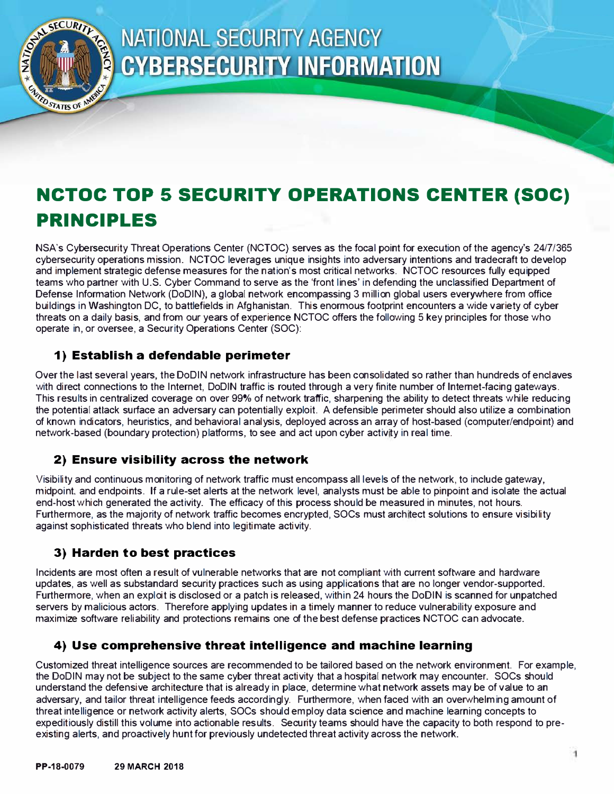

# **NATIONAL SECURITY AGENCY CYBERSECURITY INFORMATION**

# **NCTOC TOP 5 SECURITY OPERATIONS CENTER (SOC) PRINCIPLES**

NSA's Cybersecurity Threat Operations Center (NCTOC) serves as the focal point for execution of the agency's 24/7/365 cybersecurity operations mission. NCTOC leverages unique insights into adversary intentions and tradecraft to develop and implement strategic defense measures for the nation's most critical networks. NCTOC resources fully equipped teams who partner with U.S. Cyber Command to serve as the 'front lines' in defending the unclassified Department of Defense Information Network (DoDIN), a global network encompassing 3 million global users everywhere from office buildings in Washington DC, to battlefields in Afghanistan. This enormous footprint encounters a wide variety of cyber threats on a daily basis, and from our years of experience NCTOC offers the following 5 key principles for those who operate in, or oversee, a Security Operations Center (SOC):

# **1) Establish a defendable perimeter**

Over the last several years, the DoDIN network infrastructure has been consolidated so rather than hundreds of enclaves with direct connections to the Internet, DoDIN traffic is routed through a very finite number of Internet-facing gateways. This results in centralized coverage on over 99% of network traffic, sharpening the ability to detect threats while reducing the potential attack surface an adversary can potentially exploit. A defensible perimeter should also utilize a combination of known indicators, heuristics, and behavioral analysis, deployed across an array of host-based (computer/endpoint) and network-based (boundary protection) platforms, to see and act upon cyber activity in real time.

#### **2) Ensure visibility across the network**

Visibility and continuous monitoring of network traffic must encompass all levels of the network, to include gateway, midpoint, and endpoints. If a rule-set alerts at the network level, analysts must be able to pinpoint and isolate the actual end-host which generated the activity. The efficacy of this process should be measured in minutes, not hours. Furthermore, as the majority of network traffic becomes encrypted, SOCs must architect solutions to ensure visibility against sophisticated threats who blend into legitimate activity.

# **3) Harden to best practices**

Incidents are most often a result of vulnerable networks that are not compliant with current software and hardware updates, as well as substandard security practices such as using applications that are no longer vendor-supported. Furthermore, when an exploit is disclosed or a patch is released, within 24 hours the DoDIN is scanned for unpatched servers by malicious actors. Therefore applying updates in a timely manner to reduce vulnerability exposure and maximize software reliability and protections remains one of the best defense practices NCTOC can advocate.

#### **4) Use comprehensive threat intelligence and machine learning**

Customized threat intelligence sources are recommended to be tailored based on the network environment. For example, the DoDIN may not be subject to the same cyber threat activity that a hospital network may encounter. SOCs should understand the defensive architecture that is already in place, determine what network assets may be of value to an adversary, and tailor threat intelligence feeds accordingly. Furthermore, when faced with an overwhelming amount of threat intelligence or network activity alerts, SOCs should employ data science and machine learning concepts to expeditiously distill this volume into actionable results. Security teams should have the capacity to both respond to preexisting alerts, and proactively hunt for previously undetected threat activity across the network.